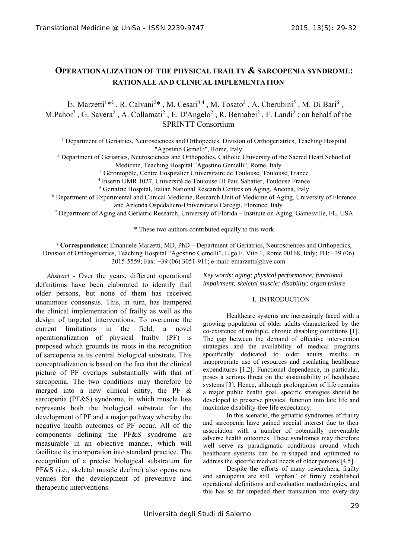# **OPERATIONALIZATION OF THE PHYSICAL FRAILTY & SARCOPENIA SYNDROME: RATIONALE AND CLINICAL IMPLEMENTATION**

E. Marzetti<sup>1\*§</sup>, R. Calvani<sup>2\*</sup>, M. Cesari<sup>3,4</sup>, M. Tosato<sup>2</sup>, A. Cherubini<sup>5</sup>, M. Di Bari<sup>6</sup>, M.Pahor<sup>7</sup>, G. Savera<sup>2</sup>, A. Collamati<sup>2</sup>, E. D'Angelo<sup>2</sup>, R. Bernabei<sup>2</sup>, F. Landi<sup>2</sup>; on behalf of the SPRINTT Consortium

<sup>1</sup> Department of Geriatrics, Neurosciences and Orthopedics, Division of Orthogeriatrics, Teaching Hospital

<sup>2</sup> Department of Geriatrics, Neurosciences and Orthopedics, Catholic University of the Sacred Heart School of <sup>2</sup> Medicine, Teaching Hospital "Agostino Gemelli", Rome, Italy

<sup>3</sup> Gérontopôle, Centre Hospitalier Universitaire de Toulouse, Toulouse, France<br><sup>4</sup> Inserm UMB 1027, Université de Toulouse III Paul Sabatier, Toulouse France <sup>4</sup> Inserm UMR 1027, Université de Toulouse III Paul Sabatier, Toulouse France

<sup>5</sup> Geriatric Hospital, Italian National Research Centres on Aging, Ancona, Italy

6 Department of Experimental and Clinical Medicine, Research Unit of Medicine of Aging, University of Florence and Azienda Ospedaliero-Universitaria Careggi, Florence, Italy 7

Department of Aging and Geriatric Research, University of Florida – Institute on Aging, Gainesville, FL, USA

\* These two authors contributed equally to this work

§ **Correspondence**: Emanuele Marzetti, MD, PhD – Department of Geriatrics, Neurosciences and Orthopedics, Division of Orthogeriatrics, Teaching Hospital "Agostino Gemelli", L.go F. Vito 1, Rome 00168, Italy; PH: +39 (06) 3015-5559; Fax: +39 (06) 3051-911; e-mail: emarzetti@live.com

*Abstract* - Over the years, different operational definitions have been elaborated to identify frail older persons, but none of them has received unanimous consensus. This, in turn, has hampered the clinical implementation of frailty as well as the design of targeted interventions. To overcome the current limitations in the field, a novel operationalization of physical frailty (PF) is proposed which grounds its roots in the recognition of sarcopenia as its central biological substrate. This conceptualization is based on the fact that the clinical picture of PF overlaps substantially with that of sarcopenia. The two conditions may therefore be merged into a new clinical entity, the PF & sarcopenia (PF&S) syndrome, in which muscle loss represents both the biological substrate for the development of PF and a major pathway whereby the negative health outcomes of PF occur. All of the components defining the PF&S syndrome are measurable in an objective manner, which will facilitate its incorporation into standard practice. The recognition of a precise biological substratum for PF&S (i.e., skeletal muscle decline) also opens new venues for the development of preventive and therapeutic interventions.

*Key words: aging; physical performance; functional impairment; skeletal muscle; disability; organ failure* 

### I. INTRODUCTION

 Healthcare systems are increasingly faced with a growing population of older adults characterized by the co-existence of multiple, chronic disabling conditions [1]. The gap between the demand of effective intervention strategies and the availability of medical programs specifically dedicated to older adults results in inappropriate use of resources and escalating healthcare expenditures [1,2]. Functional dependence, in particular, poses a serious threat on the sustainability of healthcare systems [3]. Hence, although prolongation of life remains a major public health goal, specific strategies should be developed to preserve physical function into late life and maximize disability-free life expectancy.

 In this scenario, the geriatric syndromes of frailty and sarcopenia have gained special interest due to their association with a number of potentially preventable adverse health outcomes. These syndromes may therefore well serve as paradigmatic conditions around which healthcare systems can be re-shaped and optimized to address the specific medical needs of older persons [4,5].

 Despite the efforts of many researchers, frailty and sarcopenia are still "orphan" of firmly established operational definitions and evaluation methodologies, and this has so far impeded their translation into every-day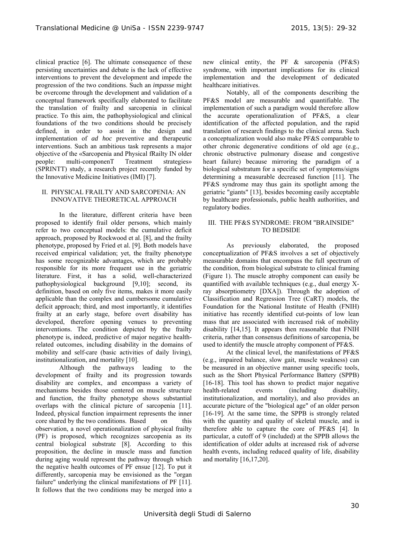clinical practice [6]. The ultimate consequence of these persisting uncertainties and debate is the lack of effective interventions to prevent the development and impede the progression of the two conditions. Such an *impasse* might be overcome through the development and validation of a conceptual framework specifically elaborated to facilitate the translation of frailty and sarcopenia in clinical practice. To this aim, the pathophysiological and clinical foundations of the two conditions should be precisely defined, in order to assist in the design and implementation of *ad hoc* preventive and therapeutic interventions. Such an ambitious task represents a major objective of the «Sarcopenia and Physical fRailty IN older people: multi-componenT Treatment strategies» (SPRINTT) study, a research project recently funded by the Innovative Medicine Initiatives (IMI) [7].

## II. PHYSICAL FRAILTY AND SARCOPENIA: AN INNOVATIVE THEORETICAL APPROACH

 In the literature, different criteria have been proposed to identify frail older persons, which mainly refer to two conceptual models: the cumulative deficit approach, proposed by Rockwood et al. [8], and the frailty phenotype, proposed by Fried et al. [9]. Both models have received empirical validation; yet, the frailty phenotype has some recognizable advantages, which are probably responsible for its more frequent use in the geriatric literature. First, it has a solid, well-characterized pathophysiological background [9,10]; second, its definition, based on only five items, makes it more easily applicable than the complex and cumbersome cumulative deficit approach; third, and most importantly, it identifies frailty at an early stage, before overt disability has developed, therefore opening venues to preventing interventions. The condition depicted by the frailty phenotype is, indeed, predictive of major negative healthrelated outcomes, including disability in the domains of mobility and self-care (basic activities of daily living), institutionalization, and mortality [10].

 Although the pathways leading to the development of frailty and its progression towards disability are complex, and encompass a variety of mechanisms besides those centered on muscle structure and function, the frailty phenotype shows substantial overlaps with the clinical picture of sarcopenia [11]. Indeed, physical function impairment represents the inner core shared by the two conditions. Based on this observation, a novel operationalization of physical frailty (PF) is proposed, which recognizes sarcopenia as its central biological substrate [8]. According to this proposition, the decline in muscle mass and function during aging would represent the pathway through which the negative health outcomes of PF ensue [12]. To put it differently, sarcopenia may be envisioned as the "organ failure" underlying the clinical manifestations of PF [11]. It follows that the two conditions may be merged into a new clinical entity, the PF & sarcopenia (PF&S) syndrome, with important implications for its clinical implementation and the development of dedicated healthcare initiatives.

 Notably, all of the components describing the PF&S model are measurable and quantifiable. The implementation of such a paradigm would therefore allow the accurate operationalization of PF&S, a clear identification of the affected population, and the rapid translation of research findings to the clinical arena. Such a conceptualization would also make PF&S comparable to other chronic degenerative conditions of old age (e.g., chronic obstructive pulmonary disease and congestive heart failure) because mirroring the paradigm of a biological substratum for a specific set of symptoms/signs determining a measurable decreased function [11]. The PF&S syndrome may thus gain its spotlight among the geriatric "giants" [13], besides becoming easily acceptable by healthcare professionals, public health authorities, and regulatory bodies.

# III. THE PF&S SYNDROME: FROM "BRAINSIDE" TO BEDSIDE

 As previously elaborated, the proposed conceptualization of PF&S involves a set of objectively measurable domains that encompass the full spectrum of the condition, from biological substrate to clinical framing (Figure 1). The muscle atrophy component can easily be quantified with available techniques (e.g., dual energy Xray absorptiometry [DXA]). Through the adoption of Classification and Regression Tree (CaRT) models, the Foundation for the National Institute of Health (FNIH) initiative has recently identified cut-points of low lean mass that are associated with increased risk of mobility disability [14,15]. It appears then reasonable that FNIH criteria, rather than consensus definitions of sarcopenia, be used to identify the muscle atrophy component of PF&S.

 At the clinical level, the manifestations of PF&S (e.g., impaired balance, slow gait, muscle weakness) can be measured in an objective manner using specific tools, such as the Short Physical Performance Battery (SPPB) [16-18]. This tool has shown to predict major negative health-related events (including disability, institutionalization, and mortality), and also provides an accurate picture of the "biological age" of an older person [16-19]. At the same time, the SPPB is strongly related with the quantity and quality of skeletal muscle, and is therefore able to capture the core of PF&S [4]. In particular, a cutoff of 9 (included) at the SPPB allows the identification of older adults at increased risk of adverse health events, including reduced quality of life, disability and mortality [16,17,20].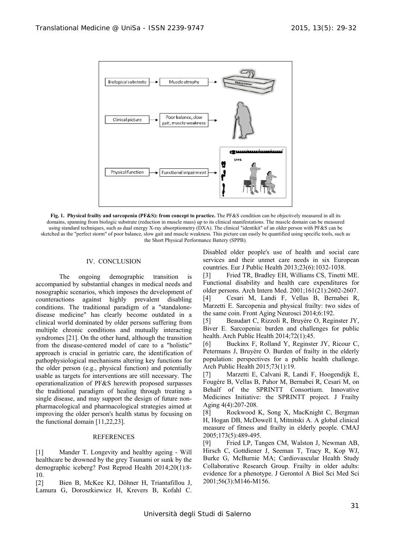

**Fig. 1. Physical frailty and sarcopenia (PF&S): from concept to practice.** The PF&S condition can be objectively measured in all its domains, spanning from biologic substrate (reduction in muscle mass) up to its clinical manifestations. The muscle domain can be measured using standard techniques, such as dual energy X-ray absorptiometry (DXA). The clinical "identikit" of an older person with PF&S can be sketched as the "perfect storm" of poor balance, slow gait and muscle weakness. This picture can easily be quantified using specific tools, such as the Short Physical Performance Battery (SPPB).

#### IV. CONCLUSION

 The ongoing demographic transition is accompanied by substantial changes in medical needs and nosographic scenarios, which imposes the development of counteractions against highly prevalent disabling conditions. The traditional paradigm of a "standalonedisease medicine" has clearly become outdated in a clinical world dominated by older persons suffering from multiple chronic conditions and mutually interacting syndromes [21]. On the other hand, although the transition from the disease-centered model of care to a "holistic" approach is crucial in geriatric care, the identification of pathophysiological mechanisms altering key functions for the older person (e.g., physical function) and potentially usable as targets for interventions are still necessary. The operationalization of PF&S herewith proposed surpasses the traditional paradigm of healing through treating a single disease, and may support the design of future nonpharmacological and pharmacological strategies aimed at improving the older person's health status by focusing on the functional domain [11,22,23].

#### REFERENCES

[1] Mander T. Longevity and healthy ageing - Will healthcare be drowned by the grey Tsunami or sunk by the demographic iceberg? Post Reprod Health 2014;20(1):8- 10.

[2] Bien B, McKee KJ, Döhner H, Triantafillou J, Lamura G, Doroszkiewicz H, Krevers B, Kofahl C.

Disabled older people's use of health and social care services and their unmet care needs in six European countries. Eur J Public Health 2013;23(6):1032-1038.

[3] Fried TR, Bradley EH, Williams CS, Tinetti ME. Functional disability and health care expenditures for older persons. Arch Intern Med. 2001;161(21):2602-2607. [4] Cesari M, Landi F, Vellas B, Bernabei R, Marzetti E. Sarcopenia and physical frailty: two sides of the same coin. Front Aging Neurosci 2014;6:192.

[5] Beaudart C, Rizzoli R, Bruyère O, Reginster JY, Biver E. Sarcopenia: burden and challenges for public health. Arch Public Health 2014;72(1):45.

[6] Buckinx F, Rolland Y, Reginster JY, Ricour C, Petermans J, Bruyère O. Burden of frailty in the elderly population: perspectives for a public health challenge. Arch Public Health 2015;73(1):19.

[7] Marzetti E, Calvani R, Landi F, Hoogendijk E, Fougère B, Vellas B, Pahor M, Bernabei R, Cesari M, on Behalf of the SPRINTT Consortium. Innovative Medicines Initiative: the SPRINTT project. J Frailty Aging 4(4):207-208.

[8] Rockwood K, Song X, MacKnight C, Bergman H, Hogan DB, McDowell I, Mitnitski A. A global clinical measure of fitness and frailty in elderly people. CMAJ 2005;173(5):489-495.

[9] Fried LP, Tangen CM, Walston J, Newman AB, Hirsch C, Gottdiener J, Seeman T, Tracy R, Kop WJ, Burke G, McBurnie MA; Cardiovascular Health Study Collaborative Research Group. Frailty in older adults: evidence for a phenotype. J Gerontol A Biol Sci Med Sci 2001;56(3):M146-M156.